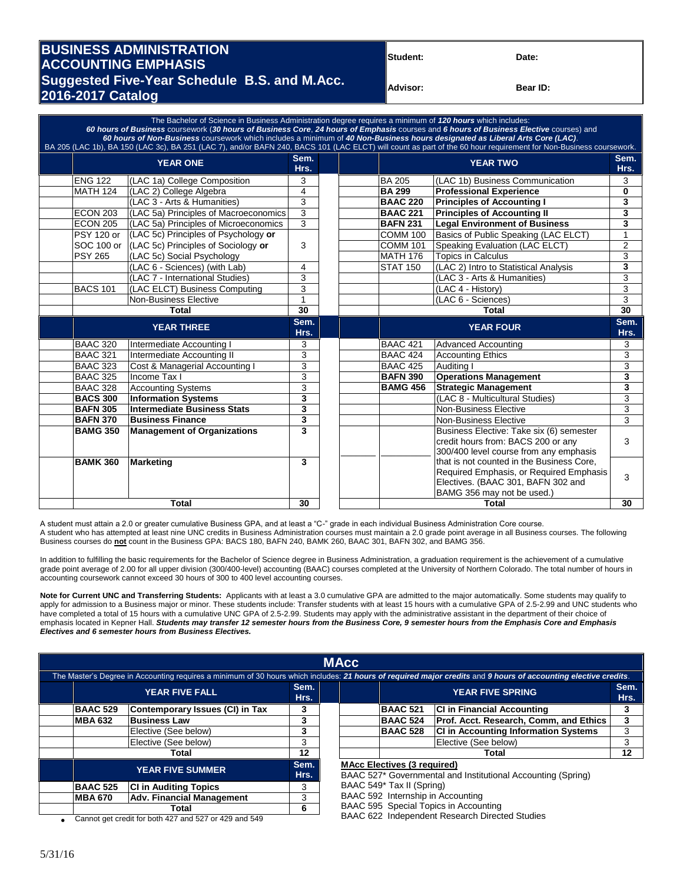## **BUSINESS ADMINISTRATION Student: Date: ACCOUNTING EMPHASIS Suggested Five-Year Schedule B.S. and M.Acc. Advisor: Advisor: Bear ID: Bear ID: 2016-2017 Catalog**

The Bachelor of Science in Business Administration degree requires a minimum of *120 hours* which includes: *60 hours of Business* coursework (*30 hours of Business Core*, *24 hours of Emphasis* courses and *6 hours of Business Elective* courses) and *60 hours of Non-Business* coursework which includes a minimum of *40 Non-Business hours designated as Liberal Arts Core (LAC)*. BA 205 (LAC 1b), BA 150 (LAC 3c), BA 251 (LAC 7), and/or BAFN 240, BACS 101 (LAC ELCT) will count as part of the 60 hour requirement for Non-Business coursework.

| <b>YEAR ONE</b>     |                                                 | Sem.<br>Hrs. | <b>YEAR TWO</b> |                                                                                                                                                                          | Sem.<br>Hrs.    |
|---------------------|-------------------------------------------------|--------------|-----------------|--------------------------------------------------------------------------------------------------------------------------------------------------------------------------|-----------------|
| <b>ENG 122</b>      | (LAC 1a) College Composition                    | 3            | <b>BA 205</b>   | (LAC 1b) Business Communication                                                                                                                                          | 3               |
| MATH <sub>124</sub> | (LAC 2) College Algebra                         | 4            | <b>BA 299</b>   | <b>Professional Experience</b>                                                                                                                                           | 0               |
|                     | (LAC 3 - Arts & Humanities)                     | 3            | <b>BAAC 220</b> | <b>Principles of Accounting I</b>                                                                                                                                        | 3               |
| ECON 203            | (LAC 5a) Principles of Macroeconomics           | 3            | <b>BAAC 221</b> | <b>Principles of Accounting II</b>                                                                                                                                       | 3               |
| <b>ECON 205</b>     | (LAC 5a) Principles of Microeconomics           | 3            | <b>BAFN 231</b> | <b>Legal Environment of Business</b>                                                                                                                                     | 3               |
|                     | PSY 120 or (LAC 5c) Principles of Psychology or |              | <b>COMM 100</b> | Basics of Public Speaking (LAC ELCT)                                                                                                                                     | 1               |
|                     | SOC 100 or (LAC 5c) Principles of Sociology or  | 3            | <b>COMM 101</b> | Speaking Evaluation (LAC ELCT)                                                                                                                                           | 2               |
| <b>PSY 265</b>      | (LAC 5c) Social Psychology                      |              | <b>MATH 176</b> | <b>Topics in Calculus</b>                                                                                                                                                | 3               |
|                     | (LAC 6 - Sciences) (with Lab)                   | 4            | <b>STAT 150</b> | (LAC 2) Intro to Statistical Analysis                                                                                                                                    | 3               |
|                     | (LAC 7 - International Studies)                 | 3            |                 | (LAC 3 - Arts & Humanities)                                                                                                                                              | 3               |
| <b>BACS 101</b>     | (LAC ELCT) Business Computing                   | 3            |                 | (LAC 4 - History)                                                                                                                                                        | 3               |
|                     | <b>Non-Business Elective</b>                    | 1            |                 | (LAC 6 - Sciences)                                                                                                                                                       | 3               |
|                     | <b>Total</b>                                    | 30           |                 | <b>Total</b>                                                                                                                                                             | $\overline{30}$ |
|                     | <b>YEAR THREE</b>                               | Sem.<br>Hrs. |                 | <b>YEAR FOUR</b>                                                                                                                                                         | Sem.<br>Hrs.    |
|                     |                                                 |              |                 |                                                                                                                                                                          |                 |
| <b>BAAC 320</b>     | Intermediate Accounting I                       | 3            | <b>BAAC 421</b> | <b>Advanced Accounting</b>                                                                                                                                               | 3               |
| <b>BAAC 321</b>     | Intermediate Accounting II                      | 3            | <b>BAAC 424</b> | <b>Accounting Ethics</b>                                                                                                                                                 | 3               |
| <b>BAAC 323</b>     | Cost & Managerial Accounting I                  | 3            | <b>BAAC 425</b> | Auditing I                                                                                                                                                               | 3               |
| <b>BAAC 325</b>     | Income Tax I                                    | 3            | <b>BAFN 390</b> | <b>Operations Management</b>                                                                                                                                             | 3               |
| BAAC 328            | <b>Accounting Systems</b>                       | 3            | <b>BAMG 456</b> | <b>Strategic Management</b>                                                                                                                                              | 3               |
| <b>BACS 300</b>     | <b>Information Systems</b>                      | 3            |                 | (LAC 8 - Multicultural Studies)                                                                                                                                          | 3               |
| <b>BAFN 305</b>     | <b>Intermediate Business Stats</b>              | 3            |                 | Non-Business Elective                                                                                                                                                    | 3               |
| <b>BAFN 370</b>     | <b>Business Finance</b>                         | 3            |                 | Non-Business Elective                                                                                                                                                    | 3               |
| <b>BAMG 350</b>     | <b>Management of Organizations</b>              | 3            |                 | Business Elective: Take six (6) semester<br>credit hours from: BACS 200 or any<br>300/400 level course from any emphasis                                                 | 3               |
| <b>BAMK 360</b>     | <b>Marketing</b><br>Total                       | 3<br>30      |                 | that is not counted in the Business Core.<br>Required Emphasis, or Required Emphasis<br>Electives. (BAAC 301, BAFN 302 and<br>BAMG 356 may not be used.)<br><b>Total</b> | 3<br>30         |

A student must attain a 2.0 or greater cumulative Business GPA, and at least a "C-" grade in each individual Business Administration Core course. A student who has attempted at least nine UNC credits in Business Administration courses must maintain a 2.0 grade point average in all Business courses. The following Business courses do **not** count in the Business GPA: BACS 180, BAFN 240, BAMK 260, BAAC 301, BAFN 302, and BAMG 356.

In addition to fulfilling the basic requirements for the Bachelor of Science degree in Business Administration, a graduation requirement is the achievement of a cumulative grade point average of 2.00 for all upper division (300/400-level) accounting (BAAC) courses completed at the University of Northern Colorado. The total number of hours in accounting coursework cannot exceed 30 hours of 300 to 400 level accounting courses.

**Note for Current UNC and Transferring Students:** Applicants with at least a 3.0 cumulative GPA are admitted to the major automatically. Some students may qualify to apply for admission to a Business major or minor. These students include: Transfer students with at least 15 hours with a cumulative GPA of 2.5-2.99 and UNC students who have completed a total of 15 hours with a cumulative UNC GPA of 2.5-2.99. Students may apply with the administrative assistant in the department of their choice of emphasis located in Kepner Hall. *Students may transfer 12 semester hours from the Business Core, 9 semester hours from the Emphasis Core and Emphasis Electives and 6 semester hours from Business Electives.*

| <b>MAcc</b>                                                                                                                                                     |                                  |                                  |                                                |  |  |                                    |                                                              |              |
|-----------------------------------------------------------------------------------------------------------------------------------------------------------------|----------------------------------|----------------------------------|------------------------------------------------|--|--|------------------------------------|--------------------------------------------------------------|--------------|
| The Master's Degree in Accounting requires a minimum of 30 hours which includes: 21 hours of required major credits and 9 hours of accounting elective credits. |                                  |                                  |                                                |  |  |                                    |                                                              |              |
|                                                                                                                                                                 | <b>YEAR FIVE FALL</b>            |                                  | Sem.<br>Hrs.                                   |  |  | <b>YEAR FIVE SPRING</b>            |                                                              | Sem.<br>Hrs. |
|                                                                                                                                                                 | <b>BAAC 529</b>                  | Contemporary Issues (CI) in Tax  |                                                |  |  | <b>BAAC 521</b>                    | <b>CI in Financial Accounting</b>                            |              |
|                                                                                                                                                                 | <b>MBA 632</b>                   | <b>Business Law</b>              | 3                                              |  |  | <b>BAAC 524</b>                    | Prof. Acct. Research, Comm, and Ethics                       |              |
|                                                                                                                                                                 |                                  | Elective (See below)             | 3                                              |  |  | <b>BAAC 528</b>                    | <b>CI in Accounting Information Systems</b>                  | 3            |
|                                                                                                                                                                 |                                  | Elective (See below)             | 3                                              |  |  |                                    | Elective (See below)                                         |              |
|                                                                                                                                                                 | Total<br><b>YEAR FIVE SUMMER</b> |                                  | 12                                             |  |  |                                    | Total                                                        | 12           |
|                                                                                                                                                                 |                                  |                                  | Sem.<br>Hrs.                                   |  |  | <b>MAcc Electives (3 required)</b> | BAAC 527* Governmental and Institutional Accounting (Spring) |              |
|                                                                                                                                                                 | <b>BAAC 525</b>                  | <b>CI in Auditing Topics</b>     |                                                |  |  | BAAC 549* Tax II (Spring)          |                                                              |              |
|                                                                                                                                                                 | <b>MBA 670</b>                   | <b>Adv. Financial Management</b> | 3                                              |  |  |                                    | BAAC 592 Internship in Accounting                            |              |
| 6<br>Total                                                                                                                                                      |                                  |                                  | BAAC 595 Special Topics in Accounting          |  |  |                                    |                                                              |              |
| Cannot get credit for both 427 and 527 or 429 and 549                                                                                                           |                                  |                                  | BAAC 622 Independent Research Directed Studies |  |  |                                    |                                                              |              |

Cannot get credit for both 427 and 527 or 429 and 549